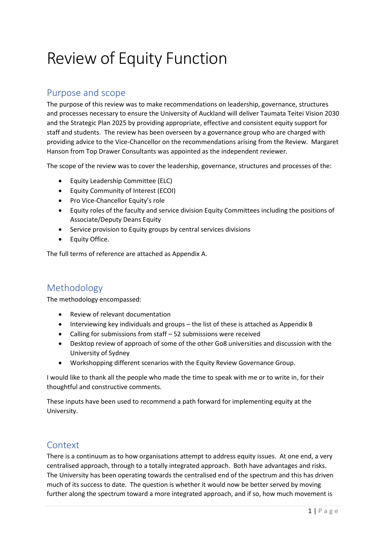# Review of Equity Function

# Purpose and scope

The purpose of this review was to make recommendations on leadership, governance, structures and processes necessary to ensure the University of Auckland will deliver Taumata Teitei Vision 2030 and the Strategic Plan 2025 by providing appropriate, effective and consistent equity support for staff and students. The review has been overseen by a governance group who are charged with providing advice to the Vice-Chancellor on the recommendations arising from the Review. Margaret Hanson from Top Drawer Consultants was appointed as the independent reviewer.

The scope of the review was to cover the leadership, governance, structures and processes of the:

- Equity Leadership Committee (ELC)
- Equity Community of Interest (ECOI)
- Pro Vice-Chancellor Equity's role
- Equity roles of the faculty and service division Equity Committees including the positions of Associate/Deputy Deans Equity
- Service provision to Equity groups by central services divisions
- Equity Office.

The full terms of reference are attached as Appendix A.

# Methodology

The methodology encompassed:

- Review of relevant documentation
- Interviewing key individuals and groups the list of these is attached as Appendix B
- Calling for submissions from staff 52 submissions were received
- Desktop review of approach of some of the other Go8 universities and discussion with the University of Sydney
- Workshopping different scenarios with the Equity Review Governance Group.

I would like to thank all the people who made the time to speak with me or to write in, for their thoughtful and constructive comments.

These inputs have been used to recommend a path forward for implementing equity at the University.

# Context

There is a continuum as to how organisations attempt to address equity issues. At one end, a very centralised approach, through to a totally integrated approach. Both have advantages and risks. The University has been operating towards the centralised end of the spectrum and this has driven much of its success to date. The question is whether it would now be better served by moving further along the spectrum toward a more integrated approach, and if so, how much movement is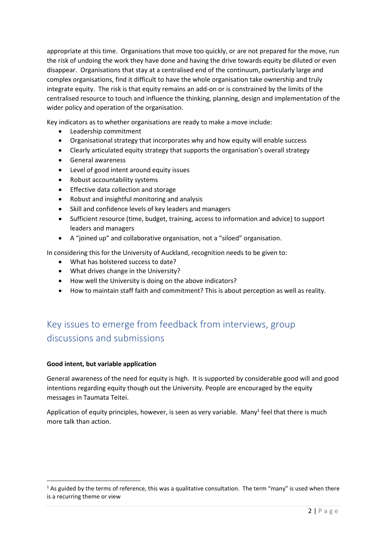appropriate at this time. Organisations that move too quickly, or are not prepared for the move, run the risk of undoing the work they have done and having the drive towards equity be diluted or even disappear. Organisations that stay at a centralised end of the continuum, particularly large and complex organisations, find it difficult to have the whole organisation take ownership and truly integrate equity. The risk is that equity remains an add-on or is constrained by the limits of the centralised resource to touch and influence the thinking, planning, design and implementation of the wider policy and operation of the organisation.

Key indicators as to whether organisations are ready to make a move include:

- Leadership commitment
- Organisational strategy that incorporates why and how equity will enable success
- Clearly articulated equity strategy that supports the organisation's overall strategy
- General awareness
- Level of good intent around equity issues
- Robust accountability systems
- Effective data collection and storage
- Robust and insightful monitoring and analysis
- Skill and confidence levels of key leaders and managers
- Sufficient resource (time, budget, training, access to information and advice) to support leaders and managers
- A "joined up" and collaborative organisation, not a "siloed" organisation.

In considering this for the University of Auckland, recognition needs to be given to:

- What has bolstered success to date?
- What drives change in the University?
- How well the University is doing on the above indicators?
- How to maintain staff faith and commitment? This is about perception as well as reality.

# Key issues to emerge from feedback from interviews, group discussions and submissions

# **Good intent, but variable application**

General awareness of the need for equity is high. It is supported by considerable good will and good intentions regarding equity though out the University. People are encouraged by the equity messages in Taumata Teitei.

Application of equity principles, however, is seen as very variable. Many<sup>1</sup> feel that there is much more talk than action.

 $1$  As guided by the terms of reference, this was a qualitative consultation. The term "many" is used when there is a recurring theme or view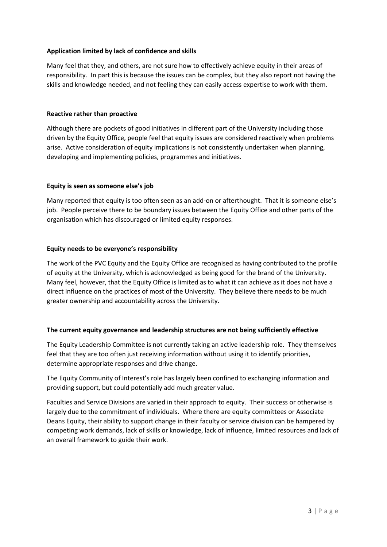# **Application limited by lack of confidence and skills**

Many feel that they, and others, are not sure how to effectively achieve equity in their areas of responsibility. In part this is because the issues can be complex, but they also report not having the skills and knowledge needed, and not feeling they can easily access expertise to work with them.

# **Reactive rather than proactive**

Although there are pockets of good initiatives in different part of the University including those driven by the Equity Office, people feel that equity issues are considered reactively when problems arise. Active consideration of equity implications is not consistently undertaken when planning, developing and implementing policies, programmes and initiatives.

# **Equity is seen as someone else's job**

Many reported that equity is too often seen as an add-on or afterthought. That it is someone else's job. People perceive there to be boundary issues between the Equity Office and other parts of the organisation which has discouraged or limited equity responses.

## **Equity needs to be everyone's responsibility**

The work of the PVC Equity and the Equity Office are recognised as having contributed to the profile of equity at the University, which is acknowledged as being good for the brand of the University. Many feel, however, that the Equity Office is limited as to what it can achieve as it does not have a direct influence on the practices of most of the University. They believe there needs to be much greater ownership and accountability across the University.

## **The current equity governance and leadership structures are not being sufficiently effective**

The Equity Leadership Committee is not currently taking an active leadership role. They themselves feel that they are too often just receiving information without using it to identify priorities, determine appropriate responses and drive change.

The Equity Community of Interest's role has largely been confined to exchanging information and providing support, but could potentially add much greater value.

Faculties and Service Divisions are varied in their approach to equity. Their success or otherwise is largely due to the commitment of individuals. Where there are equity committees or Associate Deans Equity, their ability to support change in their faculty or service division can be hampered by competing work demands, lack of skills or knowledge, lack of influence, limited resources and lack of an overall framework to guide their work.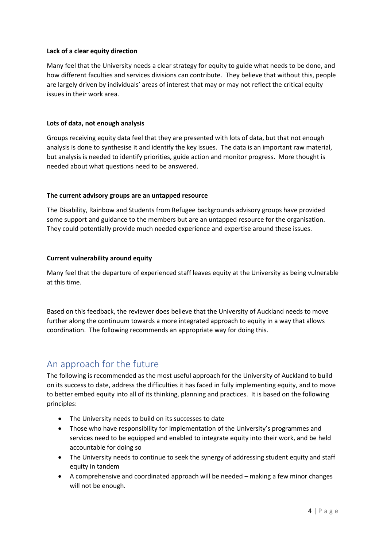# **Lack of a clear equity direction**

Many feel that the University needs a clear strategy for equity to guide what needs to be done, and how different faculties and services divisions can contribute. They believe that without this, people are largely driven by individuals' areas of interest that may or may not reflect the critical equity issues in their work area.

# **Lots of data, not enough analysis**

Groups receiving equity data feel that they are presented with lots of data, but that not enough analysis is done to synthesise it and identify the key issues. The data is an important raw material, but analysis is needed to identify priorities, guide action and monitor progress. More thought is needed about what questions need to be answered.

# **The current advisory groups are an untapped resource**

The Disability, Rainbow and Students from Refugee backgrounds advisory groups have provided some support and guidance to the members but are an untapped resource for the organisation. They could potentially provide much needed experience and expertise around these issues.

# **Current vulnerability around equity**

Many feel that the departure of experienced staff leaves equity at the University as being vulnerable at this time.

Based on this feedback, the reviewer does believe that the University of Auckland needs to move further along the continuum towards a more integrated approach to equity in a way that allows coordination. The following recommends an appropriate way for doing this.

# An approach for the future

The following is recommended as the most useful approach for the University of Auckland to build on its success to date, address the difficulties it has faced in fully implementing equity, and to move to better embed equity into all of its thinking, planning and practices. It is based on the following principles:

- The University needs to build on its successes to date
- Those who have responsibility for implementation of the University's programmes and services need to be equipped and enabled to integrate equity into their work, and be held accountable for doing so
- The University needs to continue to seek the synergy of addressing student equity and staff equity in tandem
- A comprehensive and coordinated approach will be needed making a few minor changes will not be enough.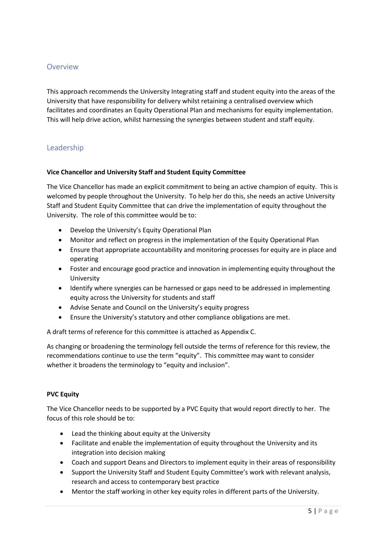# Overview

This approach recommends the University Integrating staff and student equity into the areas of the University that have responsibility for delivery whilst retaining a centralised overview which facilitates and coordinates an Equity Operational Plan and mechanisms for equity implementation. This will help drive action, whilst harnessing the synergies between student and staff equity.

# Leadership

# **Vice Chancellor and University Staff and Student Equity Committee**

The Vice Chancellor has made an explicit commitment to being an active champion of equity. This is welcomed by people throughout the University. To help her do this, she needs an active University Staff and Student Equity Committee that can drive the implementation of equity throughout the University. The role of this committee would be to:

- Develop the University's Equity Operational Plan
- Monitor and reflect on progress in the implementation of the Equity Operational Plan
- Ensure that appropriate accountability and monitoring processes for equity are in place and operating
- Foster and encourage good practice and innovation in implementing equity throughout the University
- Identify where synergies can be harnessed or gaps need to be addressed in implementing equity across the University for students and staff
- Advise Senate and Council on the University's equity progress
- Ensure the University's statutory and other compliance obligations are met.

A draft terms of reference for this committee is attached as Appendix C.

As changing or broadening the terminology fell outside the terms of reference for this review, the recommendations continue to use the term "equity". This committee may want to consider whether it broadens the terminology to "equity and inclusion".

# **PVC Equity**

The Vice Chancellor needs to be supported by a PVC Equity that would report directly to her. The focus of this role should be to:

- Lead the thinking about equity at the University
- Facilitate and enable the implementation of equity throughout the University and its integration into decision making
- Coach and support Deans and Directors to implement equity in their areas of responsibility
- Support the University Staff and Student Equity Committee's work with relevant analysis, research and access to contemporary best practice
- Mentor the staff working in other key equity roles in different parts of the University.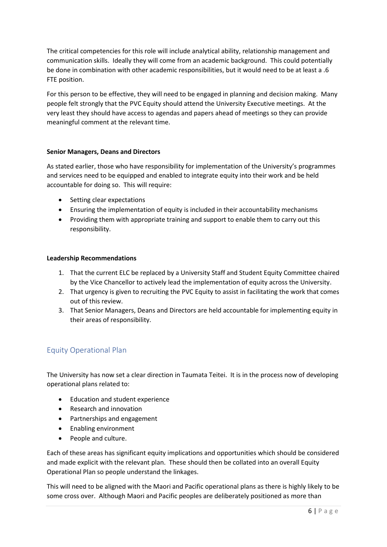The critical competencies for this role will include analytical ability, relationship management and communication skills. Ideally they will come from an academic background. This could potentially be done in combination with other academic responsibilities, but it would need to be at least a .6 FTE position.

For this person to be effective, they will need to be engaged in planning and decision making. Many people felt strongly that the PVC Equity should attend the University Executive meetings. At the very least they should have access to agendas and papers ahead of meetings so they can provide meaningful comment at the relevant time.

# **Senior Managers, Deans and Directors**

As stated earlier, those who have responsibility for implementation of the University's programmes and services need to be equipped and enabled to integrate equity into their work and be held accountable for doing so. This will require:

- Setting clear expectations
- Ensuring the implementation of equity is included in their accountability mechanisms
- Providing them with appropriate training and support to enable them to carry out this responsibility.

# **Leadership Recommendations**

- 1. That the current ELC be replaced by a University Staff and Student Equity Committee chaired by the Vice Chancellor to actively lead the implementation of equity across the University.
- 2. That urgency is given to recruiting the PVC Equity to assist in facilitating the work that comes out of this review.
- 3. That Senior Managers, Deans and Directors are held accountable for implementing equity in their areas of responsibility.

# Equity Operational Plan

The University has now set a clear direction in Taumata Teitei. It is in the process now of developing operational plans related to:

- Education and student experience
- Research and innovation
- Partnerships and engagement
- Enabling environment
- People and culture.

Each of these areas has significant equity implications and opportunities which should be considered and made explicit with the relevant plan. These should then be collated into an overall Equity Operational Plan so people understand the linkages.

This will need to be aligned with the Maori and Pacific operational plans as there is highly likely to be some cross over. Although Maori and Pacific peoples are deliberately positioned as more than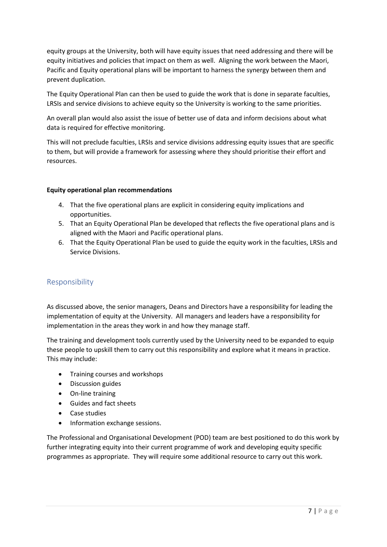equity groups at the University, both will have equity issues that need addressing and there will be equity initiatives and policies that impact on them as well. Aligning the work between the Maori, Pacific and Equity operational plans will be important to harness the synergy between them and prevent duplication.

The Equity Operational Plan can then be used to guide the work that is done in separate faculties, LRSIs and service divisions to achieve equity so the University is working to the same priorities.

An overall plan would also assist the issue of better use of data and inform decisions about what data is required for effective monitoring.

This will not preclude faculties, LRSIs and service divisions addressing equity issues that are specific to them, but will provide a framework for assessing where they should prioritise their effort and resources.

# **Equity operational plan recommendations**

- 4. That the five operational plans are explicit in considering equity implications and opportunities.
- 5. That an Equity Operational Plan be developed that reflects the five operational plans and is aligned with the Maori and Pacific operational plans.
- 6. That the Equity Operational Plan be used to guide the equity work in the faculties, LRSIs and Service Divisions.

# Responsibility

As discussed above, the senior managers, Deans and Directors have a responsibility for leading the implementation of equity at the University. All managers and leaders have a responsibility for implementation in the areas they work in and how they manage staff.

The training and development tools currently used by the University need to be expanded to equip these people to upskill them to carry out this responsibility and explore what it means in practice. This may include:

- Training courses and workshops
- Discussion guides
- On-line training
- Guides and fact sheets
- Case studies
- Information exchange sessions.

The Professional and Organisational Development (POD) team are best positioned to do this work by further integrating equity into their current programme of work and developing equity specific programmes as appropriate. They will require some additional resource to carry out this work.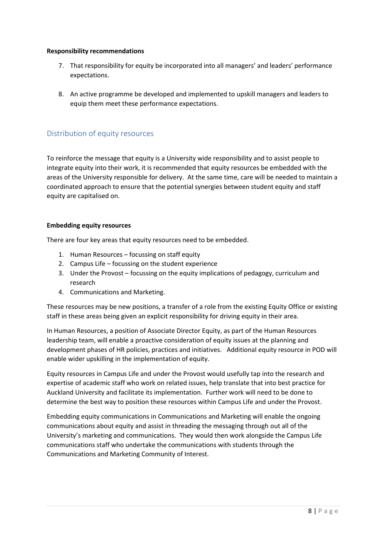# **Responsibility recommendations**

- 7. That responsibility for equity be incorporated into all managers' and leaders' performance expectations.
- 8. An active programme be developed and implemented to upskill managers and leaders to equip them meet these performance expectations.

# Distribution of equity resources

To reinforce the message that equity is a University wide responsibility and to assist people to integrate equity into their work, it is recommended that equity resources be embedded with the areas of the University responsible for delivery. At the same time, care will be needed to maintain a coordinated approach to ensure that the potential synergies between student equity and staff equity are capitalised on.

# **Embedding equity resources**

There are four key areas that equity resources need to be embedded.

- 1. Human Resources focussing on staff equity
- 2. Campus Life focussing on the student experience
- 3. Under the Provost focussing on the equity implications of pedagogy, curriculum and research
- 4. Communications and Marketing.

These resources may be new positions, a transfer of a role from the existing Equity Office or existing staff in these areas being given an explicit responsibility for driving equity in their area.

In Human Resources, a position of Associate Director Equity, as part of the Human Resources leadership team, will enable a proactive consideration of equity issues at the planning and development phases of HR policies, practices and initiatives. Additional equity resource in POD will enable wider upskilling in the implementation of equity.

Equity resources in Campus Life and under the Provost would usefully tap into the research and expertise of academic staff who work on related issues, help translate that into best practice for Auckland University and facilitate its implementation. Further work will need to be done to determine the best way to position these resources within Campus Life and under the Provost.

Embedding equity communications in Communications and Marketing will enable the ongoing communications about equity and assist in threading the messaging through out all of the University's marketing and communications. They would then work alongside the Campus Life communications staff who undertake the communications with students through the Communications and Marketing Community of Interest.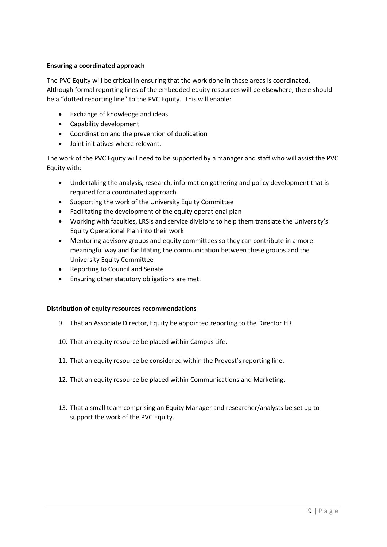# **Ensuring a coordinated approach**

The PVC Equity will be critical in ensuring that the work done in these areas is coordinated. Although formal reporting lines of the embedded equity resources will be elsewhere, there should be a "dotted reporting line" to the PVC Equity. This will enable:

- Exchange of knowledge and ideas
- Capability development
- Coordination and the prevention of duplication
- Joint initiatives where relevant.

The work of the PVC Equity will need to be supported by a manager and staff who will assist the PVC Equity with:

- Undertaking the analysis, research, information gathering and policy development that is required for a coordinated approach
- Supporting the work of the University Equity Committee
- Facilitating the development of the equity operational plan
- Working with faculties, LRSIs and service divisions to help them translate the University's Equity Operational Plan into their work
- Mentoring advisory groups and equity committees so they can contribute in a more meaningful way and facilitating the communication between these groups and the University Equity Committee
- Reporting to Council and Senate
- Ensuring other statutory obligations are met.

## **Distribution of equity resources recommendations**

- 9. That an Associate Director, Equity be appointed reporting to the Director HR.
- 10. That an equity resource be placed within Campus Life.
- 11. That an equity resource be considered within the Provost's reporting line.
- 12. That an equity resource be placed within Communications and Marketing.
- 13. That a small team comprising an Equity Manager and researcher/analysts be set up to support the work of the PVC Equity.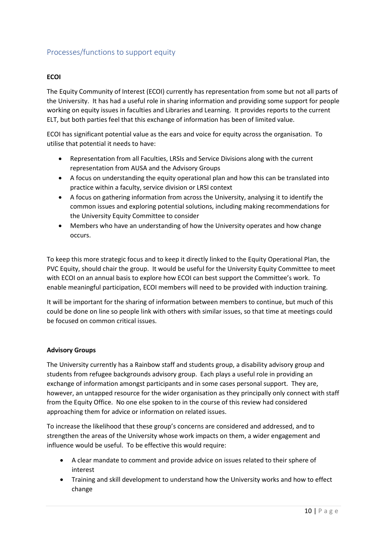# Processes/functions to support equity

# **ECOI**

The Equity Community of Interest (ECOI) currently has representation from some but not all parts of the University. It has had a useful role in sharing information and providing some support for people working on equity issues in faculties and Libraries and Learning. It provides reports to the current ELT, but both parties feel that this exchange of information has been of limited value.

ECOI has significant potential value as the ears and voice for equity across the organisation. To utilise that potential it needs to have:

- Representation from all Faculties, LRSIs and Service Divisions along with the current representation from AUSA and the Advisory Groups
- A focus on understanding the equity operational plan and how this can be translated into practice within a faculty, service division or LRSI context
- A focus on gathering information from across the University, analysing it to identify the common issues and exploring potential solutions, including making recommendations for the University Equity Committee to consider
- Members who have an understanding of how the University operates and how change occurs.

To keep this more strategic focus and to keep it directly linked to the Equity Operational Plan, the PVC Equity, should chair the group. It would be useful for the University Equity Committee to meet with ECOI on an annual basis to explore how ECOI can best support the Committee's work. To enable meaningful participation, ECOI members will need to be provided with induction training.

It will be important for the sharing of information between members to continue, but much of this could be done on line so people link with others with similar issues, so that time at meetings could be focused on common critical issues.

## **Advisory Groups**

The University currently has a Rainbow staff and students group, a disability advisory group and students from refugee backgrounds advisory group. Each plays a useful role in providing an exchange of information amongst participants and in some cases personal support. They are, however, an untapped resource for the wider organisation as they principally only connect with staff from the Equity Office. No one else spoken to in the course of this review had considered approaching them for advice or information on related issues.

To increase the likelihood that these group's concerns are considered and addressed, and to strengthen the areas of the University whose work impacts on them, a wider engagement and influence would be useful. To be effective this would require:

- A clear mandate to comment and provide advice on issues related to their sphere of interest
- Training and skill development to understand how the University works and how to effect change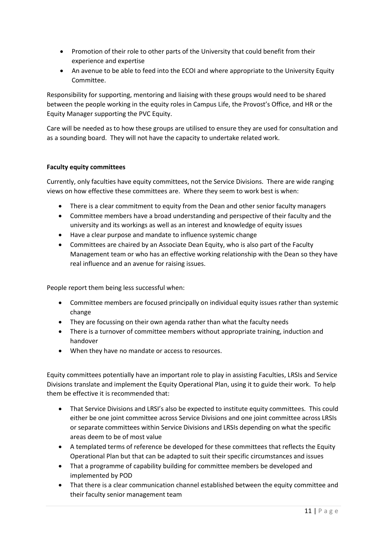- Promotion of their role to other parts of the University that could benefit from their experience and expertise
- An avenue to be able to feed into the ECOI and where appropriate to the University Equity Committee.

Responsibility for supporting, mentoring and liaising with these groups would need to be shared between the people working in the equity roles in Campus Life, the Provost's Office, and HR or the Equity Manager supporting the PVC Equity.

Care will be needed as to how these groups are utilised to ensure they are used for consultation and as a sounding board. They will not have the capacity to undertake related work.

# **Faculty equity committees**

Currently, only faculties have equity committees, not the Service Divisions. There are wide ranging views on how effective these committees are. Where they seem to work best is when:

- There is a clear commitment to equity from the Dean and other senior faculty managers
- Committee members have a broad understanding and perspective of their faculty and the university and its workings as well as an interest and knowledge of equity issues
- Have a clear purpose and mandate to influence systemic change
- Committees are chaired by an Associate Dean Equity, who is also part of the Faculty Management team or who has an effective working relationship with the Dean so they have real influence and an avenue for raising issues.

People report them being less successful when:

- Committee members are focused principally on individual equity issues rather than systemic change
- They are focussing on their own agenda rather than what the faculty needs
- There is a turnover of committee members without appropriate training, induction and handover
- When they have no mandate or access to resources.

Equity committees potentially have an important role to play in assisting Faculties, LRSIs and Service Divisions translate and implement the Equity Operational Plan, using it to guide their work. To help them be effective it is recommended that:

- That Service Divisions and LRSI's also be expected to institute equity committees. This could either be one joint committee across Service Divisions and one joint committee across LRSIs or separate committees within Service Divisions and LRSIs depending on what the specific areas deem to be of most value
- A templated terms of reference be developed for these committees that reflects the Equity Operational Plan but that can be adapted to suit their specific circumstances and issues
- That a programme of capability building for committee members be developed and implemented by POD
- That there is a clear communication channel established between the equity committee and their faculty senior management team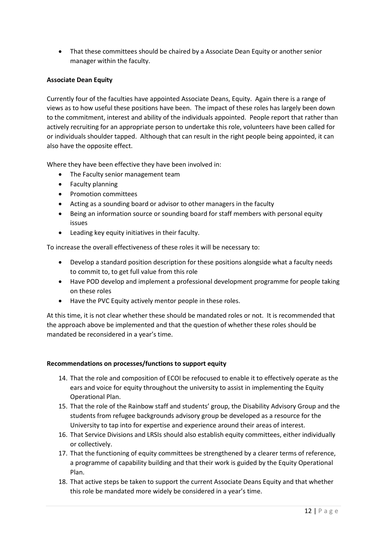• That these committees should be chaired by a Associate Dean Equity or another senior manager within the faculty.

# **Associate Dean Equity**

Currently four of the faculties have appointed Associate Deans, Equity. Again there is a range of views as to how useful these positions have been. The impact of these roles has largely been down to the commitment, interest and ability of the individuals appointed. People report that rather than actively recruiting for an appropriate person to undertake this role, volunteers have been called for or individuals shoulder tapped. Although that can result in the right people being appointed, it can also have the opposite effect.

Where they have been effective they have been involved in:

- The Faculty senior management team
- Faculty planning
- Promotion committees
- Acting as a sounding board or advisor to other managers in the faculty
- Being an information source or sounding board for staff members with personal equity issues
- Leading key equity initiatives in their faculty.

To increase the overall effectiveness of these roles it will be necessary to:

- Develop a standard position description for these positions alongside what a faculty needs to commit to, to get full value from this role
- Have POD develop and implement a professional development programme for people taking on these roles
- Have the PVC Equity actively mentor people in these roles.

At this time, it is not clear whether these should be mandated roles or not. It is recommended that the approach above be implemented and that the question of whether these roles should be mandated be reconsidered in a year's time.

# **Recommendations on processes/functions to support equity**

- 14. That the role and composition of ECOI be refocused to enable it to effectively operate as the ears and voice for equity throughout the university to assist in implementing the Equity Operational Plan.
- 15. That the role of the Rainbow staff and students' group, the Disability Advisory Group and the students from refugee backgrounds advisory group be developed as a resource for the University to tap into for expertise and experience around their areas of interest.
- 16. That Service Divisions and LRSIs should also establish equity committees, either individually or collectively.
- 17. That the functioning of equity committees be strengthened by a clearer terms of reference, a programme of capability building and that their work is guided by the Equity Operational Plan.
- 18. That active steps be taken to support the current Associate Deans Equity and that whether this role be mandated more widely be considered in a year's time.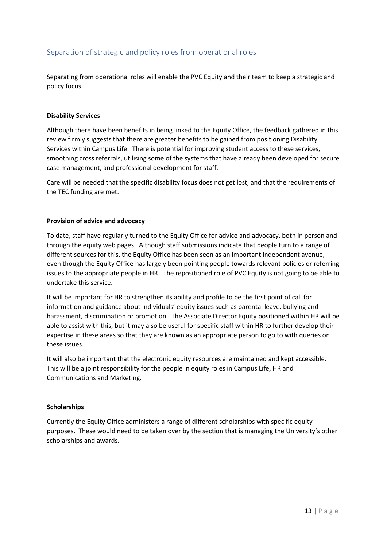# Separation of strategic and policy roles from operational roles

Separating from operational roles will enable the PVC Equity and their team to keep a strategic and policy focus.

## **Disability Services**

Although there have been benefits in being linked to the Equity Office, the feedback gathered in this review firmly suggests that there are greater benefits to be gained from positioning Disability Services within Campus Life. There is potential for improving student access to these services, smoothing cross referrals, utilising some of the systems that have already been developed for secure case management, and professional development for staff.

Care will be needed that the specific disability focus does not get lost, and that the requirements of the TEC funding are met.

#### **Provision of advice and advocacy**

To date, staff have regularly turned to the Equity Office for advice and advocacy, both in person and through the equity web pages. Although staff submissions indicate that people turn to a range of different sources for this, the Equity Office has been seen as an important independent avenue, even though the Equity Office has largely been pointing people towards relevant policies or referring issues to the appropriate people in HR. The repositioned role of PVC Equity is not going to be able to undertake this service.

It will be important for HR to strengthen its ability and profile to be the first point of call for information and guidance about individuals' equity issues such as parental leave, bullying and harassment, discrimination or promotion. The Associate Director Equity positioned within HR will be able to assist with this, but it may also be useful for specific staff within HR to further develop their expertise in these areas so that they are known as an appropriate person to go to with queries on these issues.

It will also be important that the electronic equity resources are maintained and kept accessible. This will be a joint responsibility for the people in equity roles in Campus Life, HR and Communications and Marketing.

#### **Scholarships**

Currently the Equity Office administers a range of different scholarships with specific equity purposes. These would need to be taken over by the section that is managing the University's other scholarships and awards.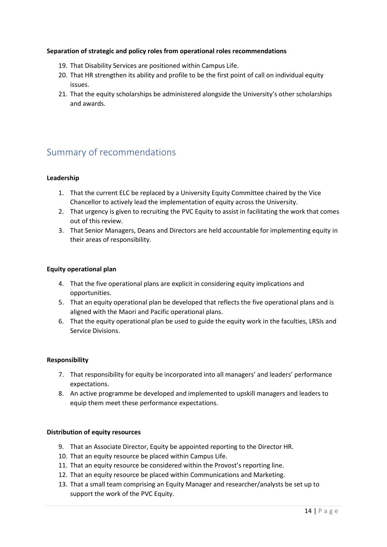# **Separation of strategic and policy roles from operational roles recommendations**

- 19. That Disability Services are positioned within Campus Life.
- 20. That HR strengthen its ability and profile to be the first point of call on individual equity issues.
- 21. That the equity scholarships be administered alongside the University's other scholarships and awards.

# Summary of recommendations

# **Leadership**

- 1. That the current ELC be replaced by a University Equity Committee chaired by the Vice Chancellor to actively lead the implementation of equity across the University.
- 2. That urgency is given to recruiting the PVC Equity to assist in facilitating the work that comes out of this review.
- 3. That Senior Managers, Deans and Directors are held accountable for implementing equity in their areas of responsibility.

## **Equity operational plan**

- 4. That the five operational plans are explicit in considering equity implications and opportunities.
- 5. That an equity operational plan be developed that reflects the five operational plans and is aligned with the Maori and Pacific operational plans.
- 6. That the equity operational plan be used to guide the equity work in the faculties, LRSIs and Service Divisions.

## **Responsibility**

- 7. That responsibility for equity be incorporated into all managers' and leaders' performance expectations.
- 8. An active programme be developed and implemented to upskill managers and leaders to equip them meet these performance expectations.

## **Distribution of equity resources**

- 9. That an Associate Director, Equity be appointed reporting to the Director HR.
- 10. That an equity resource be placed within Campus Life.
- 11. That an equity resource be considered within the Provost's reporting line.
- 12. That an equity resource be placed within Communications and Marketing.
- 13. That a small team comprising an Equity Manager and researcher/analysts be set up to support the work of the PVC Equity.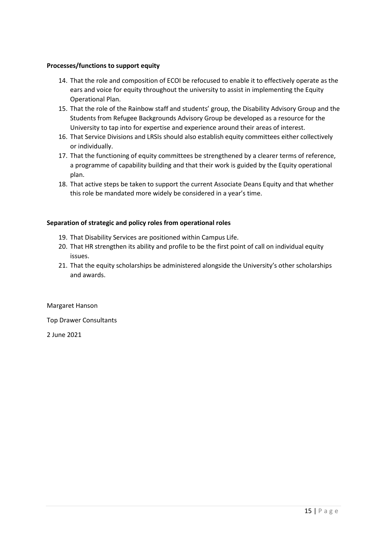# **Processes/functions to support equity**

- 14. That the role and composition of ECOI be refocused to enable it to effectively operate as the ears and voice for equity throughout the university to assist in implementing the Equity Operational Plan.
- 15. That the role of the Rainbow staff and students' group, the Disability Advisory Group and the Students from Refugee Backgrounds Advisory Group be developed as a resource for the University to tap into for expertise and experience around their areas of interest.
- 16. That Service Divisions and LRSIs should also establish equity committees either collectively or individually.
- 17. That the functioning of equity committees be strengthened by a clearer terms of reference, a programme of capability building and that their work is guided by the Equity operational plan.
- 18. That active steps be taken to support the current Associate Deans Equity and that whether this role be mandated more widely be considered in a year's time.

## **Separation of strategic and policy roles from operational roles**

- 19. That Disability Services are positioned within Campus Life.
- 20. That HR strengthen its ability and profile to be the first point of call on individual equity issues.
- 21. That the equity scholarships be administered alongside the University's other scholarships and awards.

Margaret Hanson

Top Drawer Consultants

2 June 2021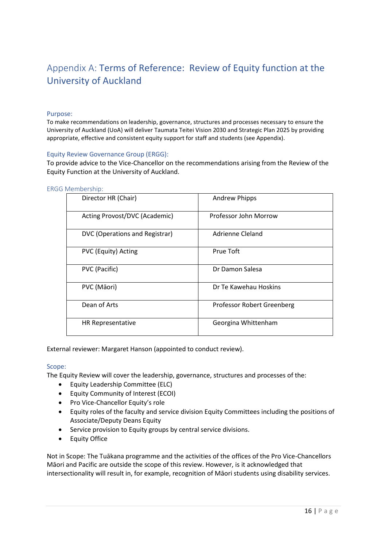# Appendix A: Terms of Reference: Review of Equity function at the University of Auckland

#### Purpose:

To make recommendations on leadership, governance, structures and processes necessary to ensure the University of Auckland (UoA) will deliver Taumata Teitei Vision 2030 and Strategic Plan 2025 by providing appropriate, effective and consistent equity support for staff and students (see Appendix).

#### Equity Review Governance Group (ERGG):

To provide advice to the Vice-Chancellor on the recommendations arising from the Review of the Equity Function at the University of Auckland.

| Director HR (Chair)            | <b>Andrew Phipps</b>       |
|--------------------------------|----------------------------|
| Acting Provost/DVC (Academic)  | Professor John Morrow      |
| DVC (Operations and Registrar) | Adrienne Cleland           |
| PVC (Equity) Acting            | Prue Toft                  |
| PVC (Pacific)                  | Dr Damon Salesa            |
| PVC (Māori)                    | Dr Te Kawehau Hoskins      |
| Dean of Arts                   | Professor Robert Greenberg |
| <b>HR Representative</b>       | Georgina Whittenham        |

ERGG Membership:

External reviewer: Margaret Hanson (appointed to conduct review).

#### Scope:

The Equity Review will cover the leadership, governance, structures and processes of the:

- Equity Leadership Committee (ELC)
- Equity Community of Interest (ECOI)
- Pro Vice-Chancellor Equity's role
- Equity roles of the faculty and service division Equity Committees including the positions of Associate/Deputy Deans Equity
- Service provision to Equity groups by central service divisions.
- Equity Office

Not in Scope: The Tuākana programme and the activities of the offices of the Pro Vice-Chancellors Māori and Pacific are outside the scope of this review. However, is it acknowledged that intersectionality will result in, for example, recognition of Māori students using disability services.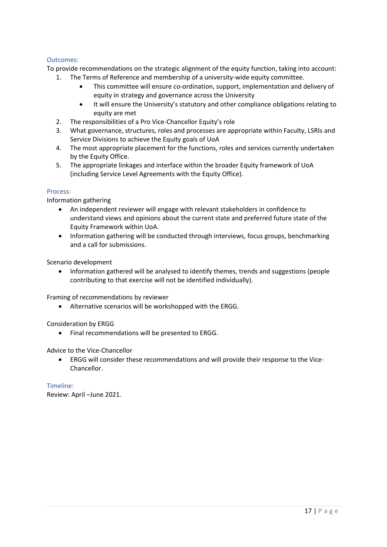# Outcomes:

To provide recommendations on the strategic alignment of the equity function, taking into account:

- 1. The Terms of Reference and membership of a university-wide equity committee.
	- This committee will ensure co-ordination, support, implementation and delivery of equity in strategy and governance across the University
	- It will ensure the University's statutory and other compliance obligations relating to equity are met
- 2. The responsibilities of a Pro Vice-Chancellor Equity's role
- 3. What governance, structures, roles and processes are appropriate within Faculty, LSRIs and Service Divisions to achieve the Equity goals of UoA
- 4. The most appropriate placement for the functions, roles and services currently undertaken by the Equity Office.
- 5. The appropriate linkages and interface within the broader Equity framework of UoA (including Service Level Agreements with the Equity Office).

## Process:

Information gathering

- An independent reviewer will engage with relevant stakeholders in confidence to understand views and opinions about the current state and preferred future state of the Equity Framework within UoA.
- Information gathering will be conducted through interviews, focus groups, benchmarking and a call for submissions.

Scenario development

• Information gathered will be analysed to identify themes, trends and suggestions (people contributing to that exercise will not be identified individually).

Framing of recommendations by reviewer

• Alternative scenarios will be workshopped with the ERGG.

Consideration by ERGG

• Final recommendations will be presented to ERGG.

Advice to the Vice-Chancellor

• ERGG will consider these recommendations and will provide their response to the Vice-Chancellor.

Timeline: Review: April –June 2021.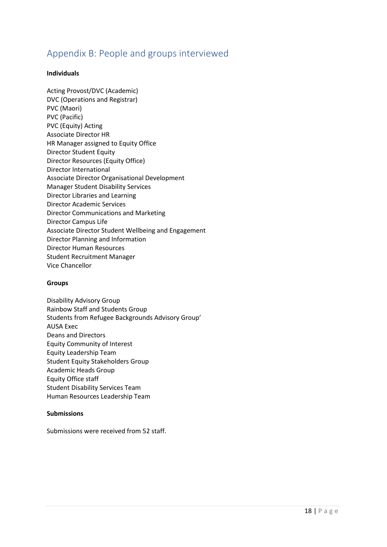# Appendix B: People and groups interviewed

# **Individuals**

Acting Provost/DVC (Academic) DVC (Operations and Registrar) PVC (Maori) PVC (Pacific) PVC (Equity) Acting Associate Director HR HR Manager assigned to Equity Office Director Student Equity Director Resources (Equity Office) Director International Associate Director Organisational Development Manager Student Disability Services Director Libraries and Learning Director Academic Services Director Communications and Marketing Director Campus Life Associate Director Student Wellbeing and Engagement Director Planning and Information Director Human Resources Student Recruitment Manager Vice Chancellor

## **Groups**

Disability Advisory Group Rainbow Staff and Students Group Students from Refugee Backgrounds Advisory Group' AUSA Exec Deans and Directors Equity Community of Interest Equity Leadership Team Student Equity Stakeholders Group Academic Heads Group Equity Office staff Student Disability Services Team Human Resources Leadership Team

## **Submissions**

Submissions were received from 52 staff.